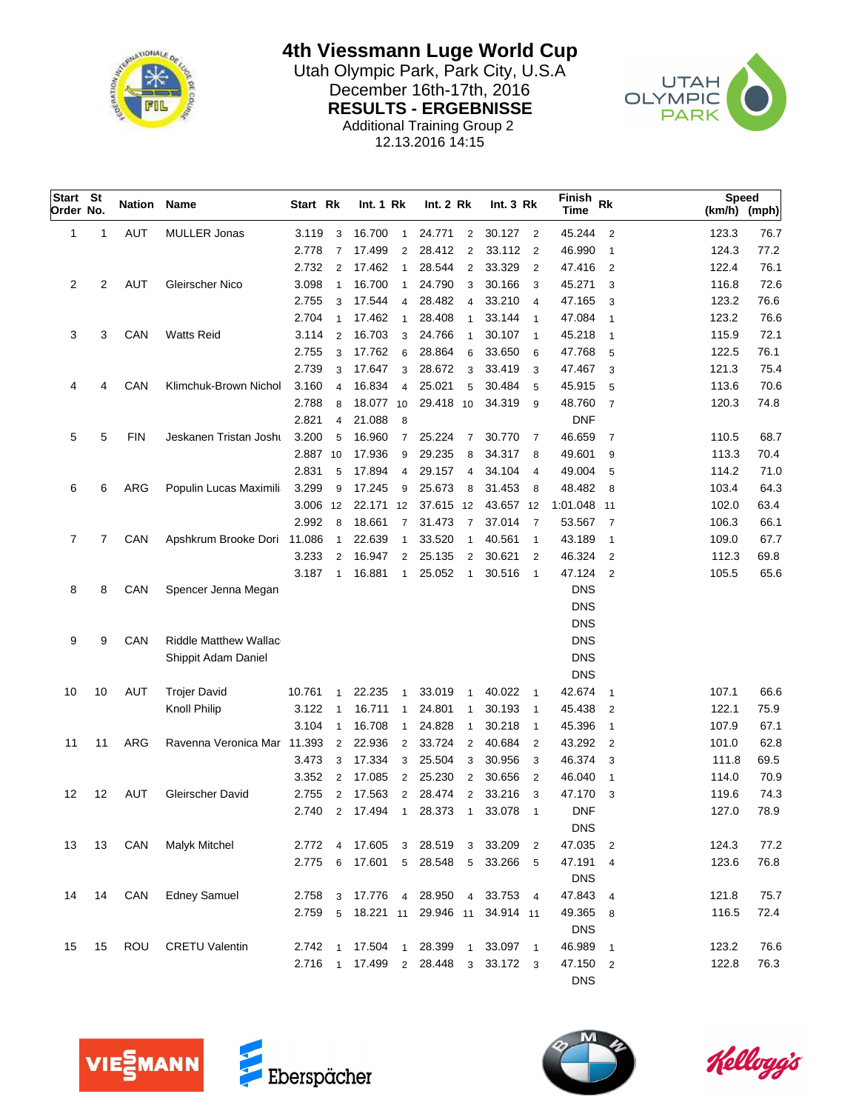

**4th Viessmann Luge World Cup**

Utah Olympic Park, Park City, U.S.A<br>Desember 16th-17th, 2016 December 16th-17th, 2016<br>
RESULTS - ERGEBNISSE<br>
CLYMPIC **RESULTS - ERGEBNISSE** Additional Training Group 2



12.13.2016 14:15

|    |                                                     | Name                                          |                                                                                                                                                                                   |                                                                                                                                             |                                                                                                                 |                                                                                                                                    |                                                                                                                       |                                                                                                                                                                                                         |                                                                                                                                                                                                                                                                                                                            |                                                                                                                 | Finish<br>Time                                                                                                                                                                                                    |                                                                                                                                                                                                    |                                                                                                                                                                                                                  |                                                                                                                            |                                                                                                                                        |
|----|-----------------------------------------------------|-----------------------------------------------|-----------------------------------------------------------------------------------------------------------------------------------------------------------------------------------|---------------------------------------------------------------------------------------------------------------------------------------------|-----------------------------------------------------------------------------------------------------------------|------------------------------------------------------------------------------------------------------------------------------------|-----------------------------------------------------------------------------------------------------------------------|---------------------------------------------------------------------------------------------------------------------------------------------------------------------------------------------------------|----------------------------------------------------------------------------------------------------------------------------------------------------------------------------------------------------------------------------------------------------------------------------------------------------------------------------|-----------------------------------------------------------------------------------------------------------------|-------------------------------------------------------------------------------------------------------------------------------------------------------------------------------------------------------------------|----------------------------------------------------------------------------------------------------------------------------------------------------------------------------------------------------|------------------------------------------------------------------------------------------------------------------------------------------------------------------------------------------------------------------|----------------------------------------------------------------------------------------------------------------------------|----------------------------------------------------------------------------------------------------------------------------------------|
| 1  | <b>AUT</b>                                          | <b>MULLER Jonas</b>                           | 3.119                                                                                                                                                                             | 3                                                                                                                                           | 16.700                                                                                                          | $\mathbf{1}$                                                                                                                       | 24.771                                                                                                                |                                                                                                                                                                                                         |                                                                                                                                                                                                                                                                                                                            |                                                                                                                 | 45.244                                                                                                                                                                                                            | $\overline{2}$                                                                                                                                                                                     | 123.3                                                                                                                                                                                                            | 76.7                                                                                                                       |                                                                                                                                        |
|    |                                                     |                                               | 2.778                                                                                                                                                                             | $\overline{7}$                                                                                                                              | 17.499                                                                                                          | 2                                                                                                                                  | 28.412                                                                                                                |                                                                                                                                                                                                         |                                                                                                                                                                                                                                                                                                                            | $\overline{2}$                                                                                                  | 46.990                                                                                                                                                                                                            | $\overline{1}$                                                                                                                                                                                     | 124.3                                                                                                                                                                                                            | 77.2                                                                                                                       |                                                                                                                                        |
|    |                                                     |                                               | 2.732                                                                                                                                                                             | $\overline{2}$                                                                                                                              | 17.462                                                                                                          | $\mathbf{1}$                                                                                                                       | 28.544                                                                                                                |                                                                                                                                                                                                         | 33.329                                                                                                                                                                                                                                                                                                                     | $\overline{2}$                                                                                                  | 47.416                                                                                                                                                                                                            | 2                                                                                                                                                                                                  | 122.4                                                                                                                                                                                                            | 76.1                                                                                                                       |                                                                                                                                        |
| 2  | <b>AUT</b>                                          | Gleirscher Nico                               | 3.098                                                                                                                                                                             | $\overline{1}$                                                                                                                              | 16.700                                                                                                          | $\mathbf{1}$                                                                                                                       | 24.790                                                                                                                |                                                                                                                                                                                                         | 30.166                                                                                                                                                                                                                                                                                                                     | 3                                                                                                               | 45.271                                                                                                                                                                                                            | 3                                                                                                                                                                                                  | 116.8                                                                                                                                                                                                            | 72.6                                                                                                                       |                                                                                                                                        |
|    |                                                     |                                               | 2.755                                                                                                                                                                             | 3                                                                                                                                           | 17.544                                                                                                          | $\overline{4}$                                                                                                                     | 28.482                                                                                                                | $\overline{4}$                                                                                                                                                                                          | 33.210                                                                                                                                                                                                                                                                                                                     | $\overline{4}$                                                                                                  | 47.165                                                                                                                                                                                                            | 3                                                                                                                                                                                                  | 123.2                                                                                                                                                                                                            | 76.6                                                                                                                       |                                                                                                                                        |
|    |                                                     |                                               | 2.704                                                                                                                                                                             | $\overline{1}$                                                                                                                              | 17.462                                                                                                          | $\mathbf{1}$                                                                                                                       | 28.408                                                                                                                | $\mathbf{1}$                                                                                                                                                                                            | 33.144                                                                                                                                                                                                                                                                                                                     | $\mathbf{1}$                                                                                                    | 47.084                                                                                                                                                                                                            | $\mathbf{1}$                                                                                                                                                                                       | 123.2                                                                                                                                                                                                            | 76.6                                                                                                                       |                                                                                                                                        |
| 3  | CAN                                                 | <b>Watts Reid</b>                             | 3.114                                                                                                                                                                             | $\overline{2}$                                                                                                                              | 16.703                                                                                                          | 3                                                                                                                                  | 24.766                                                                                                                |                                                                                                                                                                                                         | 30.107                                                                                                                                                                                                                                                                                                                     | $\overline{1}$                                                                                                  | 45.218                                                                                                                                                                                                            | $\overline{1}$                                                                                                                                                                                     | 115.9                                                                                                                                                                                                            | 72.1                                                                                                                       |                                                                                                                                        |
|    |                                                     |                                               | 2.755                                                                                                                                                                             | 3                                                                                                                                           | 17.762                                                                                                          | 6                                                                                                                                  | 28.864                                                                                                                | 6                                                                                                                                                                                                       | 33.650                                                                                                                                                                                                                                                                                                                     | 6                                                                                                               | 47.768                                                                                                                                                                                                            | 5                                                                                                                                                                                                  | 122.5                                                                                                                                                                                                            | 76.1                                                                                                                       |                                                                                                                                        |
|    |                                                     |                                               | 2.739                                                                                                                                                                             | 3                                                                                                                                           | 17.647                                                                                                          | 3                                                                                                                                  | 28.672                                                                                                                |                                                                                                                                                                                                         | 33.419                                                                                                                                                                                                                                                                                                                     | 3                                                                                                               | 47.467                                                                                                                                                                                                            | 3                                                                                                                                                                                                  | 121.3                                                                                                                                                                                                            | 75.4                                                                                                                       |                                                                                                                                        |
| 4  | CAN                                                 | Klimchuk-Brown Nichol                         | 3.160                                                                                                                                                                             | 4                                                                                                                                           | 16.834                                                                                                          | 4                                                                                                                                  | 25.021                                                                                                                | 5                                                                                                                                                                                                       | 30.484                                                                                                                                                                                                                                                                                                                     | 5                                                                                                               | 45.915                                                                                                                                                                                                            | 5                                                                                                                                                                                                  | 113.6                                                                                                                                                                                                            | 70.6                                                                                                                       |                                                                                                                                        |
|    |                                                     |                                               | 2.788                                                                                                                                                                             | 8                                                                                                                                           |                                                                                                                 |                                                                                                                                    |                                                                                                                       |                                                                                                                                                                                                         | 34.319                                                                                                                                                                                                                                                                                                                     | 9                                                                                                               | 48.760                                                                                                                                                                                                            | $\overline{7}$                                                                                                                                                                                     | 120.3                                                                                                                                                                                                            | 74.8                                                                                                                       |                                                                                                                                        |
|    |                                                     |                                               | 2.821                                                                                                                                                                             | 4                                                                                                                                           | 21.088                                                                                                          | 8                                                                                                                                  |                                                                                                                       |                                                                                                                                                                                                         |                                                                                                                                                                                                                                                                                                                            |                                                                                                                 | <b>DNF</b>                                                                                                                                                                                                        |                                                                                                                                                                                                    |                                                                                                                                                                                                                  |                                                                                                                            |                                                                                                                                        |
| 5  | <b>FIN</b>                                          | Jeskanen Tristan Josht                        | 3.200                                                                                                                                                                             | 5                                                                                                                                           | 16.960                                                                                                          | $\overline{7}$                                                                                                                     | 25.224                                                                                                                | $\overline{7}$                                                                                                                                                                                          | 30.770                                                                                                                                                                                                                                                                                                                     | $\overline{7}$                                                                                                  | 46.659                                                                                                                                                                                                            | $\overline{7}$                                                                                                                                                                                     | 110.5                                                                                                                                                                                                            | 68.7                                                                                                                       |                                                                                                                                        |
|    |                                                     |                                               |                                                                                                                                                                                   |                                                                                                                                             | 17.936                                                                                                          | 9                                                                                                                                  | 29.235                                                                                                                |                                                                                                                                                                                                         | 34.317                                                                                                                                                                                                                                                                                                                     | 8                                                                                                               | 49.601                                                                                                                                                                                                            | 9                                                                                                                                                                                                  | 113.3                                                                                                                                                                                                            | 70.4                                                                                                                       |                                                                                                                                        |
|    |                                                     |                                               | 2.831                                                                                                                                                                             | 5                                                                                                                                           | 17.894                                                                                                          | 4                                                                                                                                  | 29.157                                                                                                                | $\overline{4}$                                                                                                                                                                                          | 34.104                                                                                                                                                                                                                                                                                                                     | $\overline{4}$                                                                                                  | 49.004                                                                                                                                                                                                            | 5                                                                                                                                                                                                  | 114.2                                                                                                                                                                                                            | 71.0                                                                                                                       |                                                                                                                                        |
| 6  | ARG                                                 | Populin Lucas Maximili                        | 3.299                                                                                                                                                                             | 9                                                                                                                                           | 17.245                                                                                                          | 9                                                                                                                                  | 25.673                                                                                                                |                                                                                                                                                                                                         | 31.453                                                                                                                                                                                                                                                                                                                     | 8                                                                                                               | 48.482                                                                                                                                                                                                            | 8                                                                                                                                                                                                  | 103.4                                                                                                                                                                                                            | 64.3                                                                                                                       |                                                                                                                                        |
|    |                                                     |                                               |                                                                                                                                                                                   |                                                                                                                                             |                                                                                                                 |                                                                                                                                    |                                                                                                                       |                                                                                                                                                                                                         |                                                                                                                                                                                                                                                                                                                            |                                                                                                                 |                                                                                                                                                                                                                   |                                                                                                                                                                                                    | 102.0                                                                                                                                                                                                            | 63.4                                                                                                                       |                                                                                                                                        |
|    |                                                     |                                               | 2.992                                                                                                                                                                             | 8                                                                                                                                           | 18.661                                                                                                          | $\overline{7}$                                                                                                                     | 31.473                                                                                                                |                                                                                                                                                                                                         | 37.014                                                                                                                                                                                                                                                                                                                     | $\overline{7}$                                                                                                  | 53.567                                                                                                                                                                                                            | $\overline{7}$                                                                                                                                                                                     | 106.3                                                                                                                                                                                                            | 66.1                                                                                                                       |                                                                                                                                        |
| 7  | CAN                                                 |                                               | 11.086                                                                                                                                                                            | $\overline{1}$                                                                                                                              | 22.639                                                                                                          | $\mathbf{1}$                                                                                                                       | 33.520                                                                                                                |                                                                                                                                                                                                         | 40.561                                                                                                                                                                                                                                                                                                                     | $\overline{1}$                                                                                                  | 43.189                                                                                                                                                                                                            | $\overline{1}$                                                                                                                                                                                     | 109.0                                                                                                                                                                                                            | 67.7                                                                                                                       |                                                                                                                                        |
|    |                                                     |                                               | 3.233                                                                                                                                                                             | $\overline{2}$                                                                                                                              | 16.947                                                                                                          | $\overline{2}$                                                                                                                     | 25.135                                                                                                                |                                                                                                                                                                                                         | 30.621                                                                                                                                                                                                                                                                                                                     | 2                                                                                                               | 46.324                                                                                                                                                                                                            | $\overline{2}$                                                                                                                                                                                     | 112.3                                                                                                                                                                                                            | 69.8                                                                                                                       |                                                                                                                                        |
|    |                                                     |                                               | 3.187                                                                                                                                                                             | $\overline{1}$                                                                                                                              | 16.881                                                                                                          |                                                                                                                                    | 25.052                                                                                                                |                                                                                                                                                                                                         | 30.516                                                                                                                                                                                                                                                                                                                     | $\overline{1}$                                                                                                  | 47.124                                                                                                                                                                                                            | $\overline{2}$                                                                                                                                                                                     | 105.5                                                                                                                                                                                                            | 65.6                                                                                                                       |                                                                                                                                        |
| 8  | CAN                                                 | Spencer Jenna Megan                           |                                                                                                                                                                                   |                                                                                                                                             |                                                                                                                 |                                                                                                                                    |                                                                                                                       |                                                                                                                                                                                                         |                                                                                                                                                                                                                                                                                                                            |                                                                                                                 | <b>DNS</b>                                                                                                                                                                                                        |                                                                                                                                                                                                    |                                                                                                                                                                                                                  |                                                                                                                            |                                                                                                                                        |
|    |                                                     |                                               |                                                                                                                                                                                   |                                                                                                                                             |                                                                                                                 |                                                                                                                                    |                                                                                                                       |                                                                                                                                                                                                         |                                                                                                                                                                                                                                                                                                                            |                                                                                                                 | <b>DNS</b>                                                                                                                                                                                                        |                                                                                                                                                                                                    |                                                                                                                                                                                                                  |                                                                                                                            |                                                                                                                                        |
|    |                                                     |                                               |                                                                                                                                                                                   |                                                                                                                                             |                                                                                                                 |                                                                                                                                    |                                                                                                                       |                                                                                                                                                                                                         |                                                                                                                                                                                                                                                                                                                            |                                                                                                                 | <b>DNS</b>                                                                                                                                                                                                        |                                                                                                                                                                                                    |                                                                                                                                                                                                                  |                                                                                                                            |                                                                                                                                        |
| 9  | CAN                                                 | <b>Riddle Matthew Wallac</b>                  |                                                                                                                                                                                   |                                                                                                                                             |                                                                                                                 |                                                                                                                                    |                                                                                                                       |                                                                                                                                                                                                         |                                                                                                                                                                                                                                                                                                                            |                                                                                                                 |                                                                                                                                                                                                                   |                                                                                                                                                                                                    |                                                                                                                                                                                                                  |                                                                                                                            |                                                                                                                                        |
|    |                                                     |                                               |                                                                                                                                                                                   |                                                                                                                                             |                                                                                                                 |                                                                                                                                    |                                                                                                                       |                                                                                                                                                                                                         |                                                                                                                                                                                                                                                                                                                            |                                                                                                                 |                                                                                                                                                                                                                   |                                                                                                                                                                                                    |                                                                                                                                                                                                                  |                                                                                                                            |                                                                                                                                        |
|    |                                                     |                                               |                                                                                                                                                                                   |                                                                                                                                             |                                                                                                                 |                                                                                                                                    |                                                                                                                       |                                                                                                                                                                                                         |                                                                                                                                                                                                                                                                                                                            |                                                                                                                 |                                                                                                                                                                                                                   |                                                                                                                                                                                                    |                                                                                                                                                                                                                  |                                                                                                                            |                                                                                                                                        |
| 10 |                                                     |                                               |                                                                                                                                                                                   | $\mathbf{1}$                                                                                                                                |                                                                                                                 | 1                                                                                                                                  |                                                                                                                       | $\mathbf{1}$                                                                                                                                                                                            |                                                                                                                                                                                                                                                                                                                            | $\overline{1}$                                                                                                  |                                                                                                                                                                                                                   | $\mathbf{1}$                                                                                                                                                                                       |                                                                                                                                                                                                                  | 66.6                                                                                                                       |                                                                                                                                        |
|    |                                                     |                                               |                                                                                                                                                                                   | $\overline{1}$                                                                                                                              |                                                                                                                 | $\mathbf{1}$                                                                                                                       |                                                                                                                       | $\mathbf{1}$                                                                                                                                                                                            |                                                                                                                                                                                                                                                                                                                            |                                                                                                                 |                                                                                                                                                                                                                   |                                                                                                                                                                                                    |                                                                                                                                                                                                                  |                                                                                                                            |                                                                                                                                        |
|    |                                                     |                                               |                                                                                                                                                                                   | $\overline{1}$                                                                                                                              |                                                                                                                 | $\mathbf{1}$                                                                                                                       |                                                                                                                       | 1                                                                                                                                                                                                       |                                                                                                                                                                                                                                                                                                                            |                                                                                                                 |                                                                                                                                                                                                                   |                                                                                                                                                                                                    |                                                                                                                                                                                                                  |                                                                                                                            |                                                                                                                                        |
|    |                                                     |                                               |                                                                                                                                                                                   |                                                                                                                                             |                                                                                                                 |                                                                                                                                    |                                                                                                                       |                                                                                                                                                                                                         |                                                                                                                                                                                                                                                                                                                            |                                                                                                                 |                                                                                                                                                                                                                   |                                                                                                                                                                                                    |                                                                                                                                                                                                                  |                                                                                                                            |                                                                                                                                        |
|    |                                                     |                                               |                                                                                                                                                                                   |                                                                                                                                             |                                                                                                                 |                                                                                                                                    |                                                                                                                       |                                                                                                                                                                                                         |                                                                                                                                                                                                                                                                                                                            |                                                                                                                 |                                                                                                                                                                                                                   |                                                                                                                                                                                                    |                                                                                                                                                                                                                  |                                                                                                                            |                                                                                                                                        |
|    |                                                     |                                               |                                                                                                                                                                                   |                                                                                                                                             |                                                                                                                 |                                                                                                                                    | 25.230                                                                                                                |                                                                                                                                                                                                         |                                                                                                                                                                                                                                                                                                                            |                                                                                                                 |                                                                                                                                                                                                                   |                                                                                                                                                                                                    |                                                                                                                                                                                                                  |                                                                                                                            |                                                                                                                                        |
|    |                                                     |                                               |                                                                                                                                                                                   |                                                                                                                                             |                                                                                                                 |                                                                                                                                    |                                                                                                                       |                                                                                                                                                                                                         |                                                                                                                                                                                                                                                                                                                            |                                                                                                                 |                                                                                                                                                                                                                   |                                                                                                                                                                                                    |                                                                                                                                                                                                                  |                                                                                                                            |                                                                                                                                        |
|    |                                                     |                                               |                                                                                                                                                                                   |                                                                                                                                             |                                                                                                                 |                                                                                                                                    |                                                                                                                       |                                                                                                                                                                                                         |                                                                                                                                                                                                                                                                                                                            |                                                                                                                 |                                                                                                                                                                                                                   |                                                                                                                                                                                                    |                                                                                                                                                                                                                  |                                                                                                                            |                                                                                                                                        |
|    |                                                     |                                               |                                                                                                                                                                                   |                                                                                                                                             |                                                                                                                 |                                                                                                                                    |                                                                                                                       |                                                                                                                                                                                                         |                                                                                                                                                                                                                                                                                                                            |                                                                                                                 |                                                                                                                                                                                                                   |                                                                                                                                                                                                    |                                                                                                                                                                                                                  |                                                                                                                            |                                                                                                                                        |
|    |                                                     |                                               |                                                                                                                                                                                   |                                                                                                                                             |                                                                                                                 |                                                                                                                                    |                                                                                                                       |                                                                                                                                                                                                         |                                                                                                                                                                                                                                                                                                                            |                                                                                                                 |                                                                                                                                                                                                                   |                                                                                                                                                                                                    |                                                                                                                                                                                                                  |                                                                                                                            |                                                                                                                                        |
|    |                                                     |                                               |                                                                                                                                                                                   |                                                                                                                                             |                                                                                                                 |                                                                                                                                    |                                                                                                                       |                                                                                                                                                                                                         |                                                                                                                                                                                                                                                                                                                            |                                                                                                                 |                                                                                                                                                                                                                   |                                                                                                                                                                                                    |                                                                                                                                                                                                                  |                                                                                                                            |                                                                                                                                        |
|    |                                                     |                                               |                                                                                                                                                                                   |                                                                                                                                             |                                                                                                                 |                                                                                                                                    |                                                                                                                       |                                                                                                                                                                                                         |                                                                                                                                                                                                                                                                                                                            |                                                                                                                 |                                                                                                                                                                                                                   |                                                                                                                                                                                                    |                                                                                                                                                                                                                  |                                                                                                                            |                                                                                                                                        |
|    |                                                     |                                               |                                                                                                                                                                                   |                                                                                                                                             |                                                                                                                 |                                                                                                                                    |                                                                                                                       |                                                                                                                                                                                                         |                                                                                                                                                                                                                                                                                                                            |                                                                                                                 |                                                                                                                                                                                                                   |                                                                                                                                                                                                    |                                                                                                                                                                                                                  |                                                                                                                            |                                                                                                                                        |
|    |                                                     |                                               |                                                                                                                                                                                   |                                                                                                                                             |                                                                                                                 |                                                                                                                                    |                                                                                                                       |                                                                                                                                                                                                         |                                                                                                                                                                                                                                                                                                                            |                                                                                                                 |                                                                                                                                                                                                                   |                                                                                                                                                                                                    |                                                                                                                                                                                                                  |                                                                                                                            |                                                                                                                                        |
|    |                                                     |                                               |                                                                                                                                                                                   |                                                                                                                                             |                                                                                                                 |                                                                                                                                    |                                                                                                                       |                                                                                                                                                                                                         |                                                                                                                                                                                                                                                                                                                            |                                                                                                                 |                                                                                                                                                                                                                   |                                                                                                                                                                                                    |                                                                                                                                                                                                                  |                                                                                                                            |                                                                                                                                        |
|    |                                                     |                                               |                                                                                                                                                                                   |                                                                                                                                             |                                                                                                                 |                                                                                                                                    |                                                                                                                       |                                                                                                                                                                                                         |                                                                                                                                                                                                                                                                                                                            |                                                                                                                 |                                                                                                                                                                                                                   |                                                                                                                                                                                                    |                                                                                                                                                                                                                  |                                                                                                                            |                                                                                                                                        |
|    |                                                     |                                               |                                                                                                                                                                                   |                                                                                                                                             |                                                                                                                 |                                                                                                                                    |                                                                                                                       |                                                                                                                                                                                                         |                                                                                                                                                                                                                                                                                                                            |                                                                                                                 |                                                                                                                                                                                                                   |                                                                                                                                                                                                    |                                                                                                                                                                                                                  |                                                                                                                            |                                                                                                                                        |
|    |                                                     |                                               |                                                                                                                                                                                   |                                                                                                                                             |                                                                                                                 |                                                                                                                                    |                                                                                                                       |                                                                                                                                                                                                         |                                                                                                                                                                                                                                                                                                                            |                                                                                                                 | <b>DNS</b>                                                                                                                                                                                                        |                                                                                                                                                                                                    |                                                                                                                                                                                                                  |                                                                                                                            |                                                                                                                                        |
|    | Start St<br>Order No.<br>11<br>12<br>13<br>14<br>15 | <b>AUT</b><br>ARG<br>AUT<br>CAN<br>CAN<br>ROU | Nation<br>Shippit Adam Daniel<br><b>Trojer David</b><br>Knoll Philip<br>Ravenna Veronica Mar<br>Gleirscher David<br>Malyk Mitchel<br><b>Edney Samuel</b><br><b>CRETU Valentin</b> | Apshkrum Brooke Dori<br>10.761<br>3.122<br>3.104<br>11.393<br>3.473<br>3.352<br>2.755<br>2.740<br>2.772<br>2.775<br>2.758<br>2.759<br>2.742 | Start Rk<br>2.887 10<br>3.006 12<br>$\overline{2}$<br>3<br>$\overline{2}$<br>$\overline{2}$<br>2<br>4<br>6<br>5 | 22.235<br>16.711<br>16.708<br>22.936<br>17.334<br>17.085<br>17.563<br>17.494<br>17.605<br>$\mathbf{3}$<br>17.504<br>$\overline{1}$ | <b>Int. 1 Rk</b><br>18.077 10<br>22.171 12<br>$\overline{2}$<br>3<br>$\overline{2}$<br>$\overline{2}$<br>$\mathbf{1}$ | $\mathbf{1}$<br>33.019<br>24.801<br>24.828<br>33.724<br>25.504<br>28.474<br>28.373<br>28.519<br>3<br>17.601 5<br>17.776 4<br>28.950<br>18.221 11<br>28.399<br>$\overline{1}$<br>2.716 1 17.499 2 28.448 | Int. 2 Rk<br>$\overline{2}$<br>2<br>2<br>3<br>$\overline{1}$<br>3<br>29.418 10<br>8<br>8<br>37.615 12<br>$\overline{7}$<br>$\overline{1}$<br>$\overline{2}$<br>$\mathbf{1}$<br>$\overline{2}$<br>3<br>$\overline{2}$<br>$\overline{2}$<br>$\mathbf{1}$<br>3<br>$\overline{4}$<br>$\overline{1}$<br>$\overline{\mathbf{3}}$ | 40.022<br>30.193<br>30.218<br>40.684<br>30.956<br>30.656<br>33.216<br>33.078<br>33.209<br>28.548 5<br>29.946 11 | Int.3 Rk<br>30.127 2<br>33.112<br>43.657 12<br>$\overline{1}$<br>$\overline{1}$<br>$\overline{2}$<br>3<br>2<br>3<br>$\overline{1}$<br>$\overline{2}$<br>33.266 5<br>33.753 4<br>34.914 11<br>33.097 1<br>33.172 3 | <b>DNS</b><br><b>DNS</b><br><b>DNS</b><br>42.674<br>45.438<br>45.396<br>43.292<br>46.374<br>46.040<br>47.170<br><b>DNF</b><br><b>DNS</b><br>47.035<br><b>DNS</b><br>47.843<br><b>DNS</b><br>46.989 | Rk<br>1:01.048 11<br>$\overline{2}$<br>$\overline{1}$<br>$\overline{2}$<br>3<br>$\mathbf{1}$<br>3<br>$\overline{\mathbf{c}}$<br>47.191 4<br>$\overline{4}$<br>49.365 8<br>$\overline{\phantom{0}}$ 1<br>47.150 2 | 107.1<br>122.1<br>107.9<br>101.0<br>111.8<br>114.0<br>119.6<br>127.0<br>124.3<br>123.6<br>121.8<br>116.5<br>123.2<br>122.8 | <b>Speed</b><br>$(km/h)$ (mph)<br>75.9<br>67.1<br>62.8<br>69.5<br>70.9<br>74.3<br>78.9<br>77.2<br>76.8<br>75.7<br>72.4<br>76.6<br>76.3 |